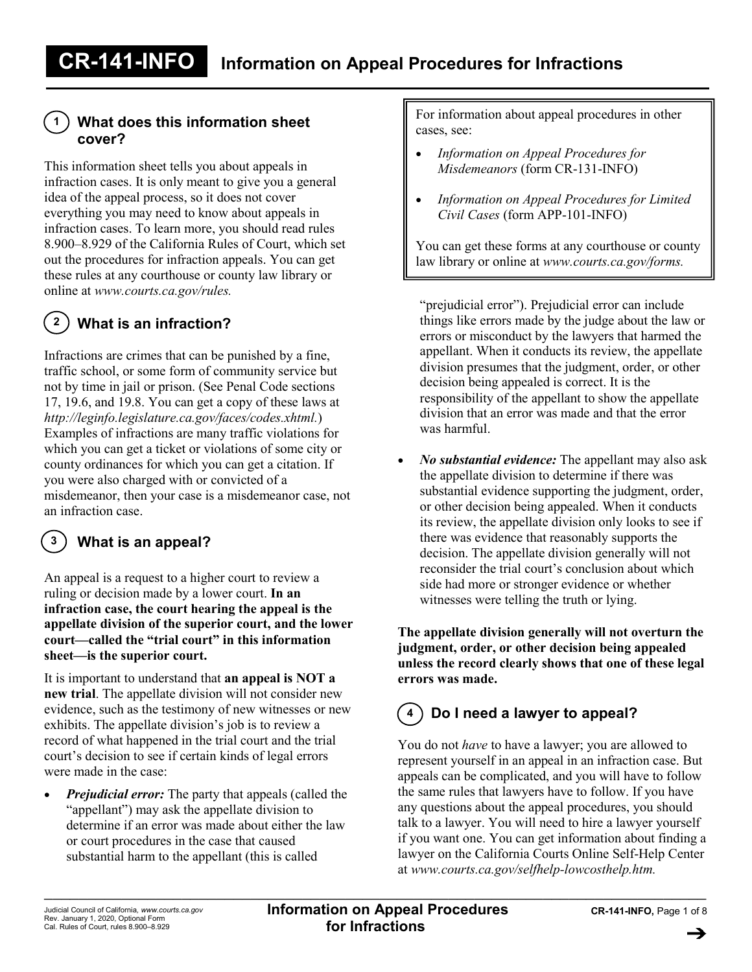## **What does this information sheet cover?**

This information sheet tells you about appeals in infraction cases. It is only meant to give you a general idea of the appeal process, so it does not cover everything you may need to know about appeals in infraction cases. To learn more, you should read rules 8.900–8.929 of the California Rules of Court, which set out the procedures for infraction appeals. You can get these rules at any courthouse or county law library or online at *www.courts.ca.gov/rules.*

#### **What is an infraction? 2**

**1**

Infractions are crimes that can be punished by a fine, traffic school, or some form of community service but not by time in jail or prison. (See Penal Code sections 17, 19.6, and 19.8. You can get a copy of these laws at *http://leginfo.legislature.ca.gov/faces/codes.xhtml.*) Examples of infractions are many traffic violations for which you can get a ticket or violations of some city or county ordinances for which you can get a citation. If you were also charged with or convicted of a misdemeanor, then your case is a misdemeanor case, not an infraction case.

#### **What is an appeal? 3**

An appeal is a request to a higher court to review a ruling or decision made by a lower court. **In an infraction case, the court hearing the appeal is the appellate division of the superior court, and the lower court—called the "trial court" in this information sheet—is the superior court.**

It is important to understand that **an appeal is NOT a new trial**. The appellate division will not consider new evidence, such as the testimony of new witnesses or new exhibits. The appellate division's job is to review a record of what happened in the trial court and the trial court's decision to see if certain kinds of legal errors were made in the case:

*Prejudicial error:* The party that appeals (called the "appellant") may ask the appellate division to determine if an error was made about either the law or court procedures in the case that caused substantial harm to the appellant (this is called

For information about appeal procedures in other cases, see:

- *Information on Appeal Procedures for Misdemeanors* (form CR-131-INFO)
- *Information on Appeal Procedures for Limited Civil Cases* (form APP-101-INFO)

You can get these forms at any courthouse or county law library or online at *[www.courts.ca.gov/forms.](http://www.courts.ca.gov/forms)*

"prejudicial error"). Prejudicial error can include things like errors made by the judge about the law or errors or misconduct by the lawyers that harmed the appellant. When it conducts its review, the appellate division presumes that the judgment, order, or other decision being appealed is correct. It is the responsibility of the appellant to show the appellate division that an error was made and that the error was harmful.

• *No substantial evidence:* The appellant may also ask the appellate division to determine if there was substantial evidence supporting the judgment, order, or other decision being appealed. When it conducts its review, the appellate division only looks to see if there was evidence that reasonably supports the decision. The appellate division generally will not reconsider the trial court's conclusion about which side had more or stronger evidence or whether witnesses were telling the truth or lying.

**The appellate division generally will not overturn the judgment, order, or other decision being appealed unless the record clearly shows that one of these legal errors was made.**

### **Do I need a lawyer to appeal? 4**

You do not *have* to have a lawyer; you are allowed to represent yourself in an appeal in an infraction case. But appeals can be complicated, and you will have to follow the same rules that lawyers have to follow. If you have any questions about the appeal procedures, you should talk to a lawyer. You will need to hire a lawyer yourself if you want one. You can get information about finding a lawyer on the California Courts Online Self-Help Center at *www.courts.ca.gov/selfhelp-lowcosthelp.htm.*

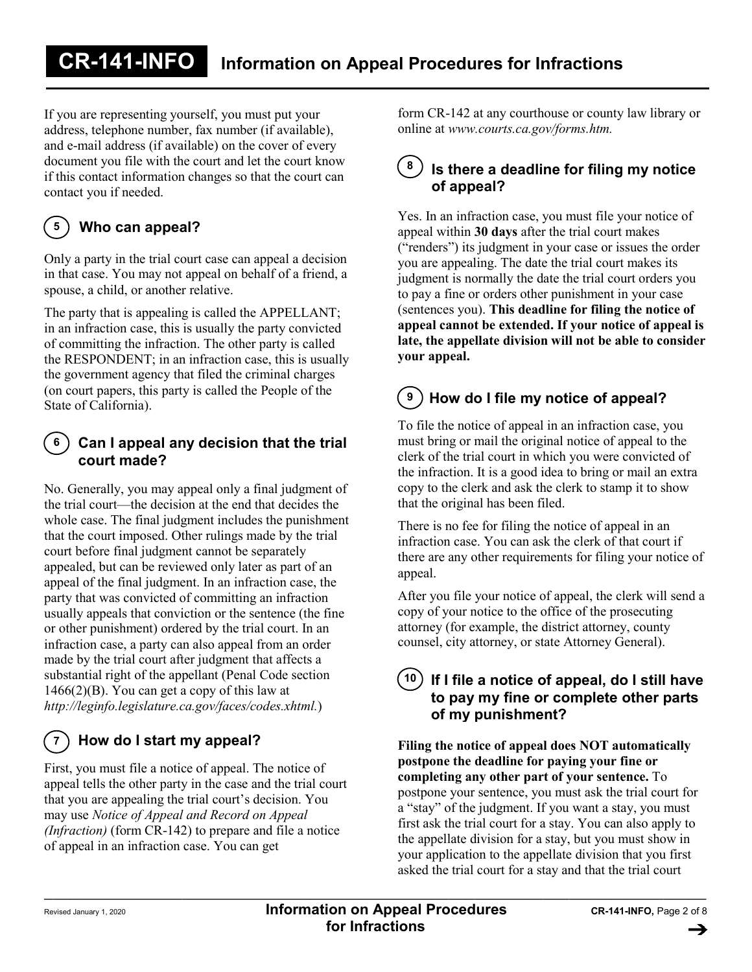If you are representing yourself, you must put your address, telephone number, fax number (if available), and e-mail address (if available) on the cover of every document you file with the court and let the court know if this contact information changes so that the court can contact you if needed.

### **Who can appeal? 5**

Only a party in the trial court case can appeal a decision in that case. You may not appeal on behalf of a friend, a spouse, a child, or another relative.

The party that is appealing is called the APPELLANT; in an infraction case, this is usually the party convicted of committing the infraction. The other party is called the RESPONDENT; in an infraction case, this is usually the government agency that filed the criminal charges (on court papers, this party is called the People of the State of California).

## **Can I appeal any decision that the trial court made? 6**

No. Generally, you may appeal only a final judgment of the trial court—the decision at the end that decides the whole case. The final judgment includes the punishment that the court imposed. Other rulings made by the trial court before final judgment cannot be separately appealed, but can be reviewed only later as part of an appeal of the final judgment. In an infraction case, the party that was convicted of committing an infraction usually appeals that conviction or the sentence (the fine or other punishment) ordered by the trial court. In an infraction case, a party can also appeal from an order made by the trial court after judgment that affects a substantial right of the appellant (Penal Code section  $1466(2)(B)$ . You can get a copy of this law at *http://leginfo.legislature.ca.gov/faces/codes.xhtml.*)

#### **How do I start my appeal?**  $\overline{7}$

First, you must file a notice of appeal. The notice of appeal tells the other party in the case and the trial court that you are appealing the trial court's decision. You may use *Notice of Appeal and Record on Appeal (Infraction)* (form CR-142) to prepare and file a notice of appeal in an infraction case. You can get

form CR-142 at any courthouse or county law library or online at *www.courts.ca.gov/forms.htm.*

## **8 Is there a deadline for filing my notice of appeal?**

Yes. In an infraction case, you must file your notice of appeal within **30 days** after the trial court makes ("renders") its judgment in your case or issues the order you are appealing. The date the trial court makes its judgment is normally the date the trial court orders you to pay a fine or orders other punishment in your case (sentences you). **This deadline for filing the notice of appeal cannot be extended. If your notice of appeal is late, the appellate division will not be able to consider your appeal.**

### **How do I file my notice of appeal? 9**

To file the notice of appeal in an infraction case, you must bring or mail the original notice of appeal to the clerk of the trial court in which you were convicted of the infraction. It is a good idea to bring or mail an extra copy to the clerk and ask the clerk to stamp it to show that the original has been filed.

There is no fee for filing the notice of appeal in an infraction case. You can ask the clerk of that court if there are any other requirements for filing your notice of appeal.

After you file your notice of appeal, the clerk will send a copy of your notice to the office of the prosecuting attorney (for example, the district attorney, county counsel, city attorney, or state Attorney General).

# **If I file a notice of appeal, do I still have 10to pay my fine or complete other parts of my punishment?**

**Filing the notice of appeal does NOT automatically postpone the deadline for paying your fine or completing any other part of your sentence.** To postpone your sentence, you must ask the trial court for a "stay" of the judgment. If you want a stay, you must first ask the trial court for a stay. You can also apply to the appellate division for a stay, but you must show in your application to the appellate division that you first asked the trial court for a stay and that the trial court

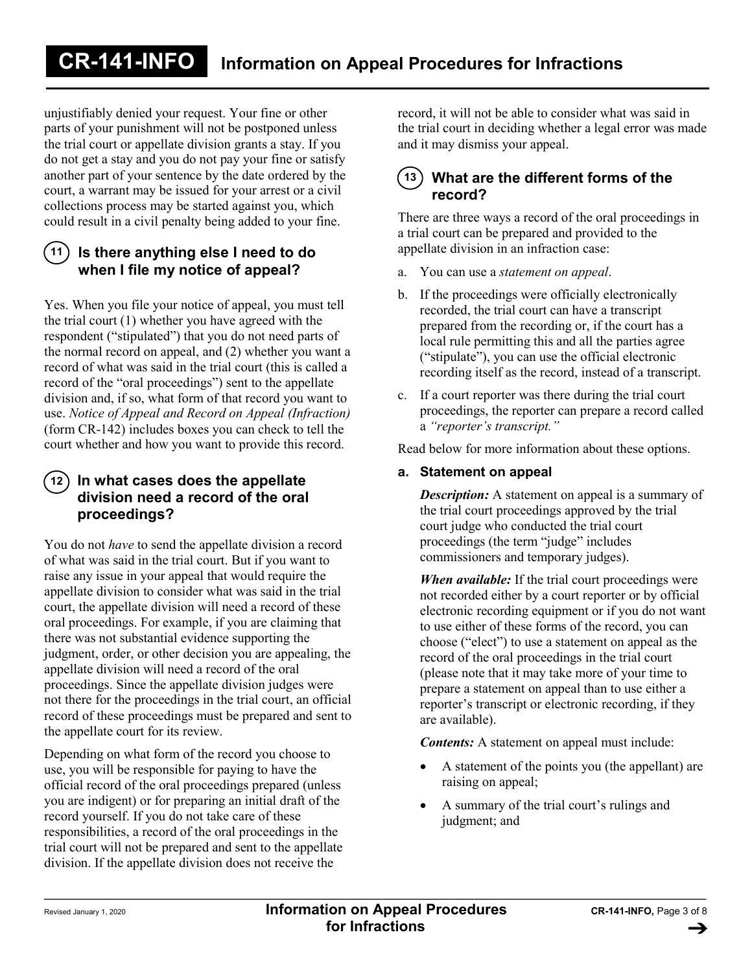unjustifiably denied your request. Your fine or other parts of your punishment will not be postponed unless the trial court or appellate division grants a stay. If you do not get a stay and you do not pay your fine or satisfy another part of your sentence by the date ordered by the court, a warrant may be issued for your arrest or a civil collections process may be started against you, which could result in a civil penalty being added to your fine.

## **Is there anything else I need to do 11 when I file my notice of appeal?**

Yes. When you file your notice of appeal, you must tell the trial court (1) whether you have agreed with the respondent ("stipulated") that you do not need parts of the normal record on appeal, and (2) whether you want a record of what was said in the trial court (this is called a record of the "oral proceedings") sent to the appellate division and, if so, what form of that record you want to use. *Notice of Appeal and Record on Appeal (Infraction)* (form CR-142) includes boxes you can check to tell the court whether and how you want to provide this record.

## **In what cases does the appellate 12 division need a record of the oral proceedings?**

You do not *have* to send the appellate division a record of what was said in the trial court. But if you want to raise any issue in your appeal that would require the appellate division to consider what was said in the trial court, the appellate division will need a record of these oral proceedings. For example, if you are claiming that there was not substantial evidence supporting the judgment, order, or other decision you are appealing, the appellate division will need a record of the oral proceedings. Since the appellate division judges were not there for the proceedings in the trial court, an official record of these proceedings must be prepared and sent to the appellate court for its review.

Depending on what form of the record you choose to use, you will be responsible for paying to have the official record of the oral proceedings prepared (unless you are indigent) or for preparing an initial draft of the record yourself. If you do not take care of these responsibilities, a record of the oral proceedings in the trial court will not be prepared and sent to the appellate division. If the appellate division does not receive the

record, it will not be able to consider what was said in the trial court in deciding whether a legal error was made and it may dismiss your appeal.

## **What are the different forms of the 13record?**

There are three ways a record of the oral proceedings in a trial court can be prepared and provided to the appellate division in an infraction case:

- a. You can use a *statement on appeal*.
- b. If the proceedings were officially electronically recorded, the trial court can have a transcript prepared from the recording or, if the court has a local rule permitting this and all the parties agree ("stipulate"), you can use the official electronic recording itself as the record, instead of a transcript.
- c. If a court reporter was there during the trial court proceedings, the reporter can prepare a record called a *"reporter's transcript."*

Read below for more information about these options.

## **a. Statement on appeal**

*Description:* A statement on appeal is a summary of the trial court proceedings approved by the trial court judge who conducted the trial court proceedings (the term "judge" includes commissioners and temporary judges).

*When available:* If the trial court proceedings were not recorded either by a court reporter or by official electronic recording equipment or if you do not want to use either of these forms of the record, you can choose ("elect") to use a statement on appeal as the record of the oral proceedings in the trial court (please note that it may take more of your time to prepare a statement on appeal than to use either a reporter's transcript or electronic recording, if they are available).

*Contents:* A statement on appeal must include:

- A statement of the points you (the appellant) are raising on appeal;
- A summary of the trial court's rulings and judgment; and

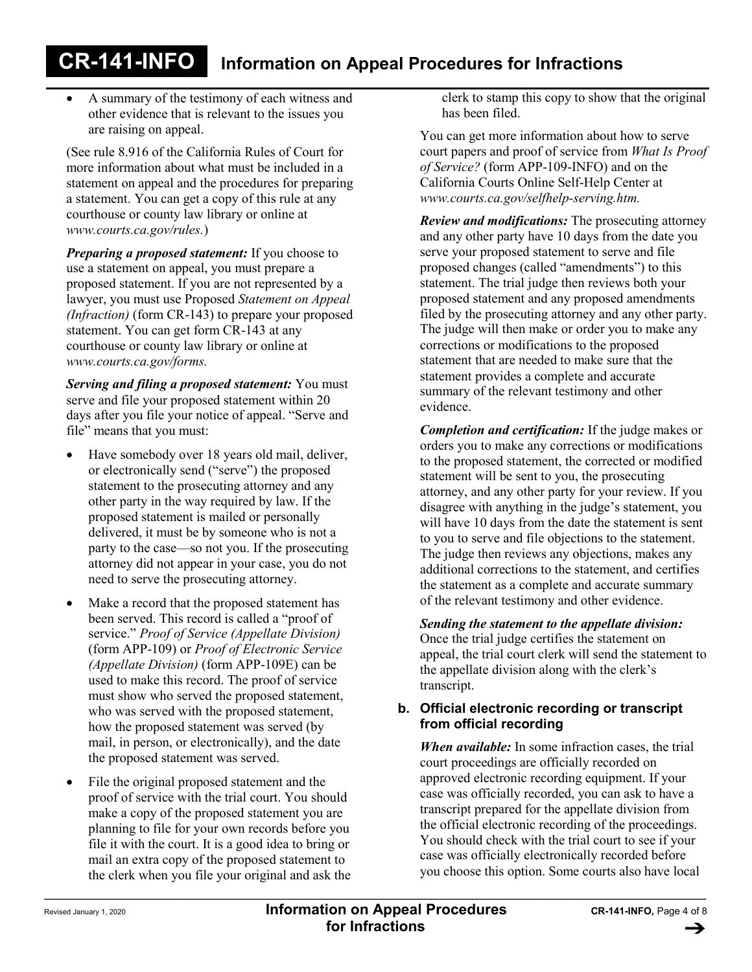• A summary of the testimony of each witness and other evidence that is relevant to the issues you are raising on appeal.

(See rule 8.916 of the California Rules of Court for more information about what must be included in a statement on appeal and the procedures for preparing a statement. You can get a copy of this rule at any courthouse or county law library or online at *www.courts.ca.gov/rules.*)

*Preparing a proposed statement:* If you choose to use a statement on appeal, you must prepare a proposed statement. If you are not represented by a lawyer, you must use Proposed *Statement on Appeal (Infraction)* (form CR-143) to prepare your proposed statement. You can get form CR-143 at any courthouse or county law library or online at *www.courts.ca.gov/forms.*

*Serving and filing a proposed statement:* You must serve and file your proposed statement within 20 days after you file your notice of appeal. "Serve and file" means that you must:

- Have somebody over 18 years old mail, deliver, or electronically send ("serve") the proposed statement to the prosecuting attorney and any other party in the way required by law. If the proposed statement is mailed or personally delivered, it must be by someone who is not a party to the case—so not you. If the prosecuting attorney did not appear in your case, you do not need to serve the prosecuting attorney.
- Make a record that the proposed statement has been served. This record is called a "proof of service." *Proof of Service (Appellate Division)*  (form APP-109) or *Proof of Electronic Service (Appellate Division)* (form APP-109E) can be used to make this record. The proof of service must show who served the proposed statement, who was served with the proposed statement, how the proposed statement was served (by mail, in person, or electronically), and the date the proposed statement was served.
- File the original proposed statement and the proof of service with the trial court. You should make a copy of the proposed statement you are planning to file for your own records before you file it with the court. It is a good idea to bring or mail an extra copy of the proposed statement to the clerk when you file your original and ask the

clerk to stamp this copy to show that the original has been filed.

You can get more information about how to serve court papers and proof of service from *What Is Proof of Service?* (form APP-109-INFO) and on the California Courts Online Self-Help Center at *www.courts.ca.gov/selfhelp-serving.htm.*

*Review and modifications:* The prosecuting attorney and any other party have 10 days from the date you serve your proposed statement to serve and file proposed changes (called "amendments") to this statement. The trial judge then reviews both your proposed statement and any proposed amendments filed by the prosecuting attorney and any other party. The judge will then make or order you to make any corrections or modifications to the proposed statement that are needed to make sure that the statement provides a complete and accurate summary of the relevant testimony and other evidence.

*Completion and certification:* If the judge makes or orders you to make any corrections or modifications to the proposed statement, the corrected or modified statement will be sent to you, the prosecuting attorney, and any other party for your review. If you disagree with anything in the judge's statement, you will have 10 days from the date the statement is sent to you to serve and file objections to the statement. The judge then reviews any objections, makes any additional corrections to the statement, and certifies the statement as a complete and accurate summary of the relevant testimony and other evidence.

*Sending the statement to the appellate division:*  Once the trial judge certifies the statement on appeal, the trial court clerk will send the statement to the appellate division along with the clerk's transcript.

## **b. Official electronic recording or transcript from official recording**

*When available:* In some infraction cases, the trial court proceedings are officially recorded on approved electronic recording equipment. If your case was officially recorded, you can ask to have a transcript prepared for the appellate division from the official electronic recording of the proceedings. You should check with the trial court to see if your case was officially electronically recorded before you choose this option. Some courts also have local

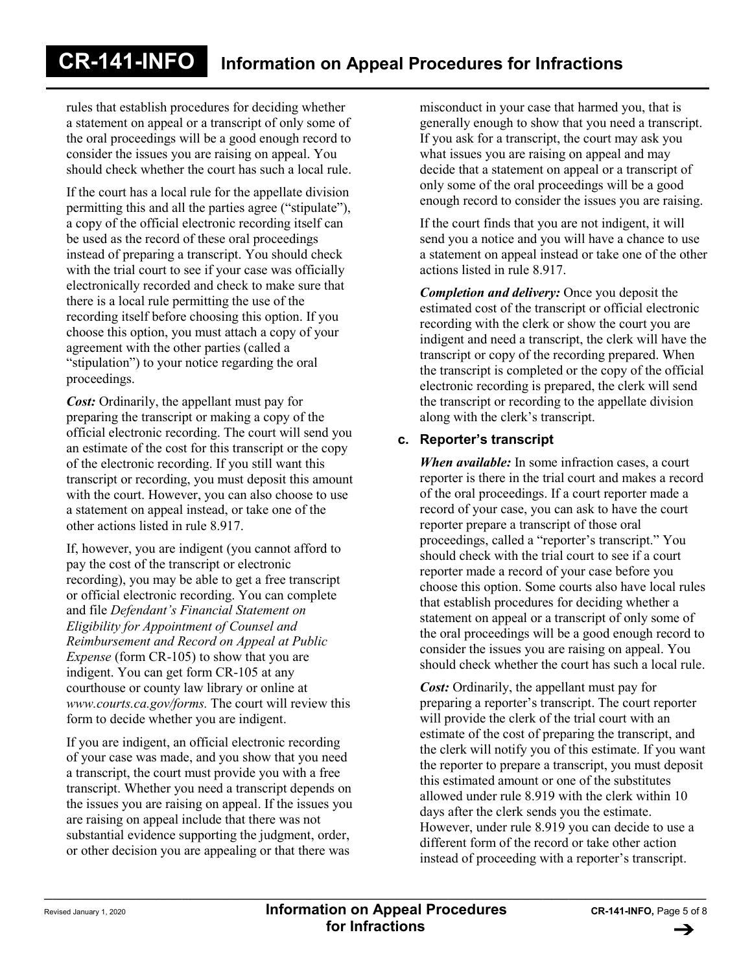rules that establish procedures for deciding whether a statement on appeal or a transcript of only some of the oral proceedings will be a good enough record to consider the issues you are raising on appeal. You should check whether the court has such a local rule.

If the court has a local rule for the appellate division permitting this and all the parties agree ("stipulate"), a copy of the official electronic recording itself can be used as the record of these oral proceedings instead of preparing a transcript. You should check with the trial court to see if your case was officially electronically recorded and check to make sure that there is a local rule permitting the use of the recording itself before choosing this option. If you choose this option, you must attach a copy of your agreement with the other parties (called a "stipulation") to your notice regarding the oral proceedings.

*Cost:* Ordinarily, the appellant must pay for preparing the transcript or making a copy of the official electronic recording. The court will send you an estimate of the cost for this transcript or the copy of the electronic recording. If you still want this transcript or recording, you must deposit this amount with the court. However, you can also choose to use a statement on appeal instead, or take one of the other actions listed in rule 8.917.

If, however, you are indigent (you cannot afford to pay the cost of the transcript or electronic recording), you may be able to get a free transcript or official electronic recording. You can complete and file *Defendant's Financial Statement on Eligibility for Appointment of Counsel and Reimbursement and Record on Appeal at Public Expense* (form CR-105) to show that you are indigent. You can get form CR-105 at any courthouse or county law library or online at *www.courts.ca.gov/forms.* The court will review this form to decide whether you are indigent.

If you are indigent, an official electronic recording of your case was made, and you show that you need a transcript, the court must provide you with a free transcript. Whether you need a transcript depends on the issues you are raising on appeal. If the issues you are raising on appeal include that there was not substantial evidence supporting the judgment, order, or other decision you are appealing or that there was

misconduct in your case that harmed you, that is generally enough to show that you need a transcript. If you ask for a transcript, the court may ask you what issues you are raising on appeal and may decide that a statement on appeal or a transcript of only some of the oral proceedings will be a good enough record to consider the issues you are raising.

If the court finds that you are not indigent, it will send you a notice and you will have a chance to use a statement on appeal instead or take one of the other actions listed in rule 8.917.

*Completion and delivery:* Once you deposit the estimated cost of the transcript or official electronic recording with the clerk or show the court you are indigent and need a transcript, the clerk will have the transcript or copy of the recording prepared. When the transcript is completed or the copy of the official electronic recording is prepared, the clerk will send the transcript or recording to the appellate division along with the clerk's transcript.

## **c. Reporter's transcript**

*When available:* In some infraction cases, a court reporter is there in the trial court and makes a record of the oral proceedings. If a court reporter made a record of your case, you can ask to have the court reporter prepare a transcript of those oral proceedings, called a "reporter's transcript." You should check with the trial court to see if a court reporter made a record of your case before you choose this option. Some courts also have local rules that establish procedures for deciding whether a statement on appeal or a transcript of only some of the oral proceedings will be a good enough record to consider the issues you are raising on appeal. You should check whether the court has such a local rule.

*Cost:* Ordinarily, the appellant must pay for preparing a reporter's transcript. The court reporter will provide the clerk of the trial court with an estimate of the cost of preparing the transcript, and the clerk will notify you of this estimate. If you want the reporter to prepare a transcript, you must deposit this estimated amount or one of the substitutes allowed under rule 8.919 with the clerk within 10 days after the clerk sends you the estimate. However, under rule 8.919 you can decide to use a different form of the record or take other action instead of proceeding with a reporter's transcript.

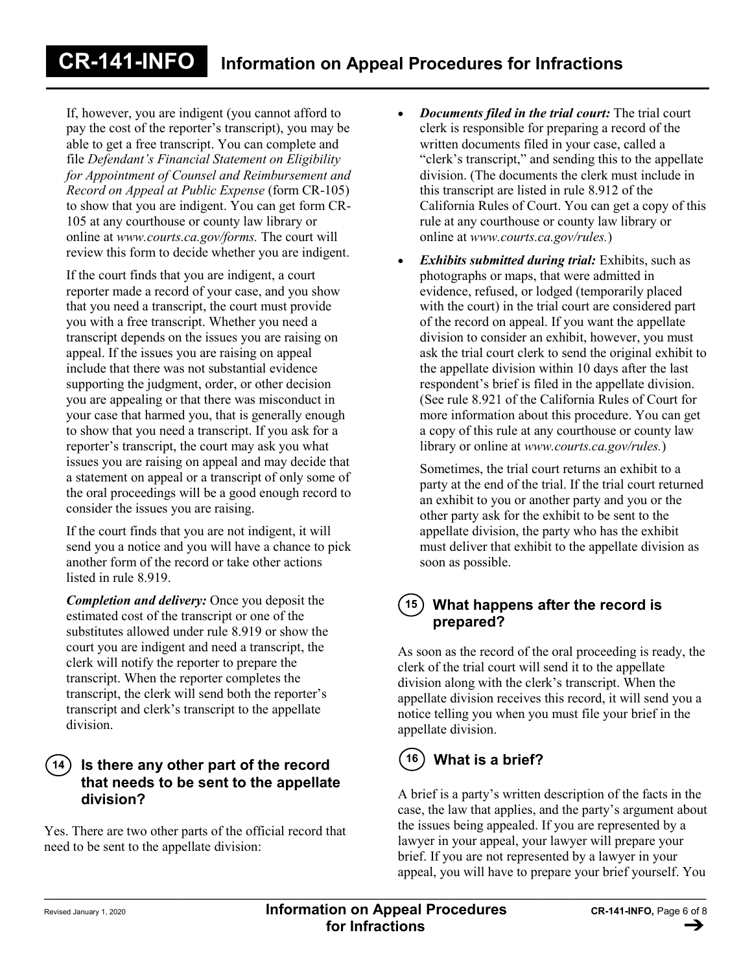If, however, you are indigent (you cannot afford to pay the cost of the reporter's transcript), you may be able to get a free transcript. You can complete and file *Defendant's Financial Statement on Eligibility for Appointment of Counsel and Reimbursement and Record on Appeal at Public Expense* (form CR-105) to show that you are indigent. You can get form CR-105 at any courthouse or county law library or online at *www.courts.ca.gov/forms.* The court will review this form to decide whether you are indigent.

If the court finds that you are indigent, a court reporter made a record of your case, and you show that you need a transcript, the court must provide you with a free transcript. Whether you need a transcript depends on the issues you are raising on appeal. If the issues you are raising on appeal include that there was not substantial evidence supporting the judgment, order, or other decision you are appealing or that there was misconduct in your case that harmed you, that is generally enough to show that you need a transcript. If you ask for a reporter's transcript, the court may ask you what issues you are raising on appeal and may decide that a statement on appeal or a transcript of only some of the oral proceedings will be a good enough record to consider the issues you are raising.

If the court finds that you are not indigent, it will send you a notice and you will have a chance to pick another form of the record or take other actions listed in rule 8.919.

*Completion and delivery:* Once you deposit the estimated cost of the transcript or one of the substitutes allowed under rule 8.919 or show the court you are indigent and need a transcript, the clerk will notify the reporter to prepare the transcript. When the reporter completes the transcript, the clerk will send both the reporter's transcript and clerk's transcript to the appellate division.

## **Is there any other part of the record that needs to be sent to the appellate division? 14**

Yes. There are two other parts of the official record that need to be sent to the appellate division:

- *Documents filed in the trial court:* The trial court clerk is responsible for preparing a record of the written documents filed in your case, called a "clerk's transcript," and sending this to the appellate division. (The documents the clerk must include in this transcript are listed in rule 8.912 of the California Rules of Court. You can get a copy of this rule at any courthouse or county law library or online at *www.courts.ca.gov/rules.*)
- *Exhibits submitted during trial:* Exhibits, such as photographs or maps, that were admitted in evidence, refused, or lodged (temporarily placed with the court) in the trial court are considered part of the record on appeal. If you want the appellate division to consider an exhibit, however, you must ask the trial court clerk to send the original exhibit to the appellate division within 10 days after the last respondent's brief is filed in the appellate division. (See rule 8.921 of the California Rules of Court for more information about this procedure. You can get a copy of this rule at any courthouse or county law library or online at *www.courts.ca.gov/rules.*)

Sometimes, the trial court returns an exhibit to a party at the end of the trial. If the trial court returned an exhibit to you or another party and you or the other party ask for the exhibit to be sent to the appellate division, the party who has the exhibit must deliver that exhibit to the appellate division as soon as possible.

## **What happens after the record is prepared? 15**

As soon as the record of the oral proceeding is ready, the clerk of the trial court will send it to the appellate division along with the clerk's transcript. When the appellate division receives this record, it will send you a notice telling you when you must file your brief in the appellate division.

# **16 What is a brief?**

A brief is a party's written description of the facts in the case, the law that applies, and the party's argument about the issues being appealed. If you are represented by a lawyer in your appeal, your lawyer will prepare your brief. If you are not represented by a lawyer in your appeal, you will have to prepare your brief yourself. You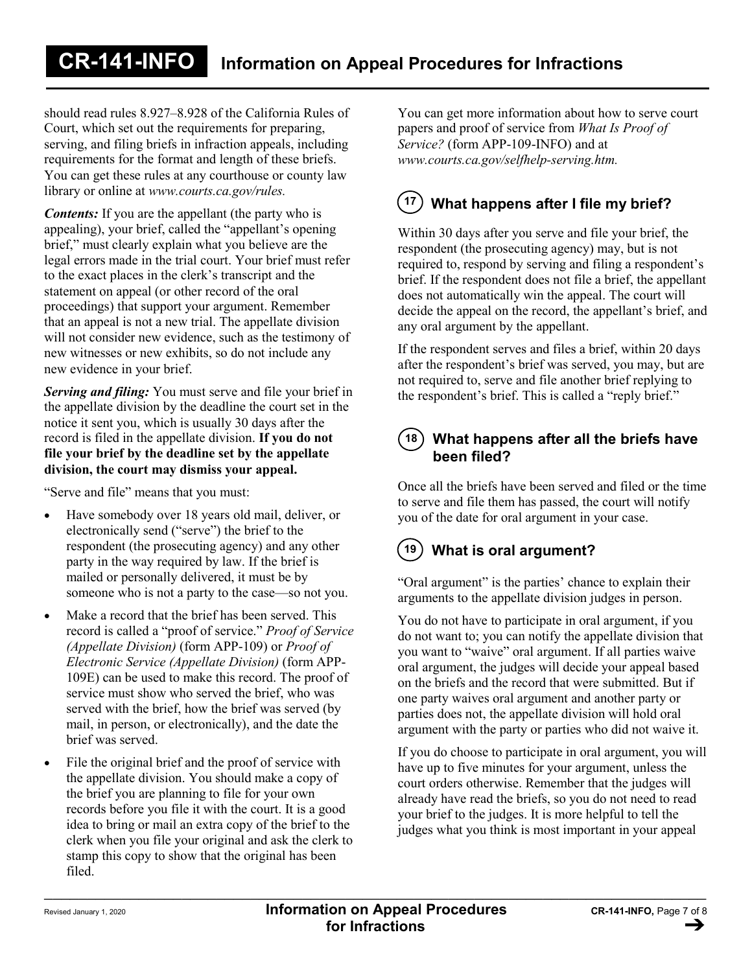should read rules 8.927–8.928 of the California Rules of Court, which set out the requirements for preparing, serving, and filing briefs in infraction appeals, including requirements for the format and length of these briefs. You can get these rules at any courthouse or county law library or online at *www.courts.ca.gov/rules.*

*Contents:* If you are the appellant (the party who is appealing), your brief, called the "appellant's opening brief," must clearly explain what you believe are the legal errors made in the trial court. Your brief must refer to the exact places in the clerk's transcript and the statement on appeal (or other record of the oral proceedings) that support your argument. Remember that an appeal is not a new trial. The appellate division will not consider new evidence, such as the testimony of new witnesses or new exhibits, so do not include any new evidence in your brief.

*Serving and filing:* You must serve and file your brief in the appellate division by the deadline the court set in the notice it sent you, which is usually 30 days after the record is filed in the appellate division. **If you do not file your brief by the deadline set by the appellate division, the court may dismiss your appeal.**

"Serve and file" means that you must:

- Have somebody over 18 years old mail, deliver, or electronically send ("serve") the brief to the respondent (the prosecuting agency) and any other party in the way required by law. If the brief is mailed or personally delivered, it must be by someone who is not a party to the case—so not you.
- Make a record that the brief has been served. This record is called a "proof of service." *Proof of Service (Appellate Division)* (form APP-109) or *Proof of Electronic Service (Appellate Division)* (form APP-109E) can be used to make this record. The proof of service must show who served the brief, who was served with the brief, how the brief was served (by mail, in person, or electronically), and the date the brief was served.
- File the original brief and the proof of service with the appellate division. You should make a copy of the brief you are planning to file for your own records before you file it with the court. It is a good idea to bring or mail an extra copy of the brief to the clerk when you file your original and ask the clerk to stamp this copy to show that the original has been filed.

You can get more information about how to serve court papers and proof of service from *What Is Proof of Service?* (form APP-109-INFO) and at *www.courts.ca.gov/selfhelp-serving.htm.*

# **<sup>17</sup> What happens after I file my brief?**

Within 30 days after you serve and file your brief, the respondent (the prosecuting agency) may, but is not required to, respond by serving and filing a respondent's brief. If the respondent does not file a brief, the appellant does not automatically win the appeal. The court will decide the appeal on the record, the appellant's brief, and any oral argument by the appellant.

If the respondent serves and files a brief, within 20 days after the respondent's brief was served, you may, but are not required to, serve and file another brief replying to the respondent's brief. This is called a "reply brief."

## **What happens after all the briefs have been filed? 18**

Once all the briefs have been served and filed or the time to serve and file them has passed, the court will notify you of the date for oral argument in your case.

# **19 What is oral argument?**

"Oral argument" is the parties' chance to explain their arguments to the appellate division judges in person.

You do not have to participate in oral argument, if you do not want to; you can notify the appellate division that you want to "waive" oral argument. If all parties waive oral argument, the judges will decide your appeal based on the briefs and the record that were submitted. But if one party waives oral argument and another party or parties does not, the appellate division will hold oral argument with the party or parties who did not waive it.

If you do choose to participate in oral argument, you will have up to five minutes for your argument, unless the court orders otherwise. Remember that the judges will already have read the briefs, so you do not need to read your brief to the judges. It is more helpful to tell the judges what you think is most important in your appeal